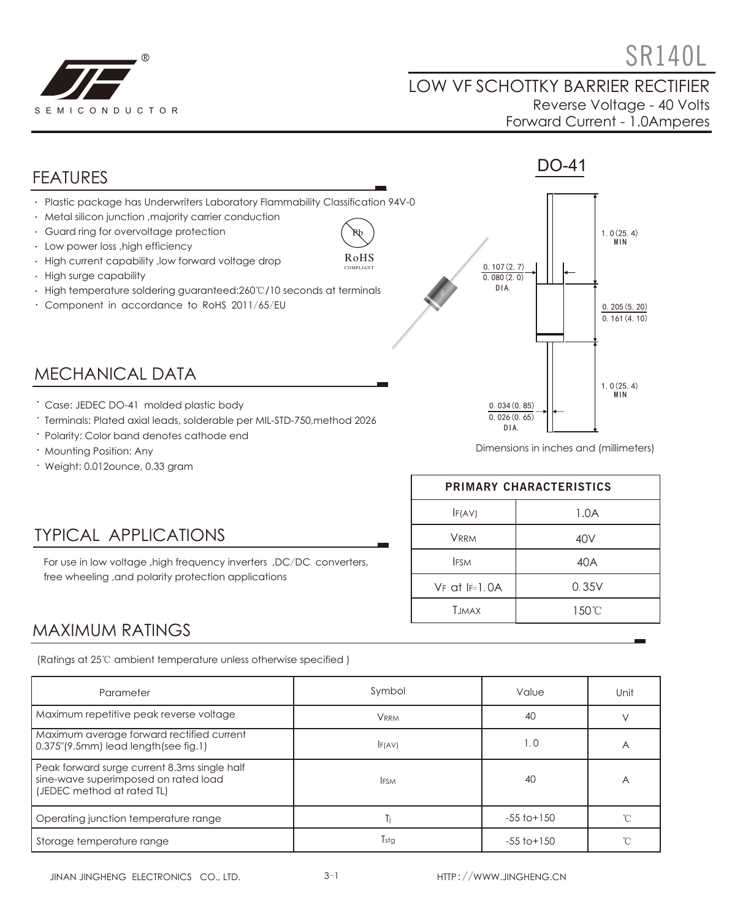

 $\mathbb{R}$   $\mathbb{R}$   $\mathbb{R}$   $\mathbb{R}$   $\mathbb{R}$   $\mathbb{R}$   $\mathbb{R}$   $\mathbb{R}$   $\mathbb{R}$   $\mathbb{R}$   $\mathbb{R}$   $\mathbb{R}$   $\mathbb{R}$   $\mathbb{R}$   $\mathbb{R}$   $\mathbb{R}$   $\mathbb{R}$   $\mathbb{R}$   $\mathbb{R}$   $\mathbb{R}$   $\mathbb{R}$   $\mathbb{R}$   $\mathbb{R}$   $\mathbb{R}$   $\mathbb{$ 

#### LOW VF SCHOTTKY BARRIER RECTIFIER Reverse Voltage - 40 Volts Forward Current - 1.0Amperes



- Polarity: Color band denotes cathode end
- Mounting Position: Any
- Weight: 0.012ounce, 0.33 gram

TYPICAL APPLICATIONS

free wheeling ,and polarity protection applications

Dimensions in inches and (millimeters)

| PRIMARY CHARACTERISTICS |       |  |  |
|-------------------------|-------|--|--|
| IF(AV)                  | 1.0A  |  |  |
| <b>VRRM</b>             | 40V   |  |  |
| <b>IFSM</b>             | 40A   |  |  |
| $VF$ at $IF=1.0A$       | 0.35V |  |  |
| <b>T.IMAX</b>           | 150°C |  |  |

#### MAXIMUM RATINGS

(Ratings at 25℃ ambient temperature unless otherwise specified )

For use in low voltage ,high frequency inverters ,DC/DC converters,

| Parameter                                                                                                          | Symbol      | Value           | Unit           |
|--------------------------------------------------------------------------------------------------------------------|-------------|-----------------|----------------|
| Maximum repetitive peak reverse voltage                                                                            | <b>VRRM</b> | 40              |                |
| Maximum average forward rectified current<br>0.375"(9.5mm) lead length(see fig.1)                                  | F(AV)       | 1.0             | $\overline{A}$ |
| Peak forward surge current 8.3ms single half<br>sine-wave superimposed on rated load<br>(JEDEC method at rated TL) | <b>IFSM</b> | 40              | Α              |
| Operating junction temperature range                                                                               | Ti          | $-55$ to $+150$ |                |
| Storage temperature range                                                                                          | Tstg        | $-55$ to $+150$ |                |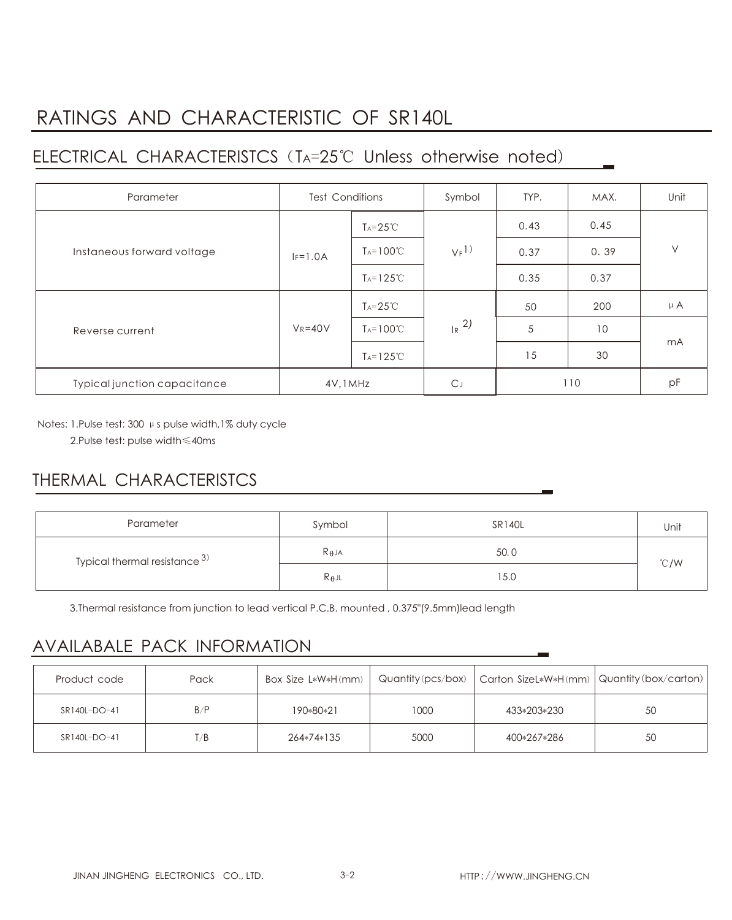## RATINGS AND CHARACTERISTIC OF SR140L

## ELECTRICAL CHARACTERISTCS(TA=25℃ Unless otherwise noted)

| Parameter                    | <b>Test Conditions</b> |                      | Symbol              | TYP. | MAX. | Unit    |
|------------------------------|------------------------|----------------------|---------------------|------|------|---------|
| Instaneous forward voltage   |                        | $T_A = 25^{\circ}C$  | $V_F$ <sup>1)</sup> | 0.43 | 0.45 | $\vee$  |
|                              | $IF=1.0A$              | $T_A = 100^{\circ}C$ |                     | 0.37 | 0.39 |         |
|                              |                        | $T_A = 125^{\circ}C$ |                     | 0.35 | 0.37 |         |
| Reverse current              | $V_R = 40V$            | $T_A = 25^{\circ}C$  | $R^{2}$             | 50   | 200  | $\mu$ A |
|                              |                        | $T_A = 100^{\circ}C$ |                     | 5    | 10   | mA      |
|                              |                        | $Ta=125^{\circ}C$    |                     | 15   | 30   |         |
| Typical junction capacitance | 4V, 1MHz               |                      | C」                  | 110  |      | pF      |

Notes: 1.Pulse test: 300 μs pulse width,1% duty cycle

2.Pulse test: pulse width≤40ms

### THERMAL CHARACTERISTCS

| Parameter                          | Symbol          | <b>SR140L</b> | Unit |  |
|------------------------------------|-----------------|---------------|------|--|
| Typical thermal resistance $^{3)}$ | $R_{\theta}$ JA | 50.0          | °C/W |  |
|                                    | $R_{\theta}$ JL | 15.0          |      |  |

3.Thermal resistance from junction to lead vertical P.C.B. mounted , 0.375"(9.5mm)lead length

#### AVAILABALE PACK INFORMATION

| Product code | Pack | Box Size L*W*H(mm) |      | Quantity (pcs/box)   Carton SizeL*W*H(mm)   Quantity (box/carton) |    |
|--------------|------|--------------------|------|-------------------------------------------------------------------|----|
| SR140L-DO-41 | B/P  | 190*80*21          | 1000 | 433*203*230                                                       | 50 |
| SR140L-DO-41 | T/B  | 264*74*135         | 5000 | 400*267*286                                                       | 50 |